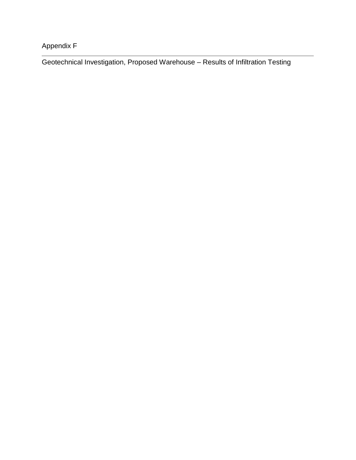Appendix F

Geotechnical Investigation, Proposed Warehouse – Results of Infiltration Testing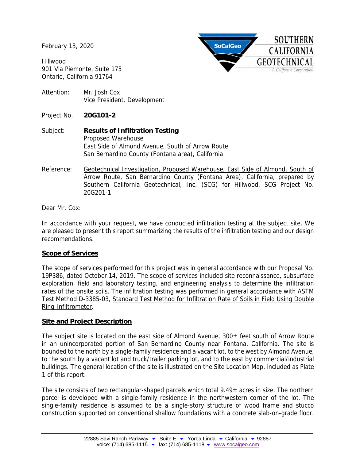February 13, 2020

Hillwood 901 Via Piemonte, Suite 175 Ontario, California 91764



- Attention: Mr. Josh Cox Vice President, Development
- Project No.: **20G101-2**
- Subject: **Results of Infiltration Testing** Proposed Warehouse East Side of Almond Avenue, South of Arrow Route San Bernardino County (Fontana area), California
- Reference: Geotechnical Investigation, Proposed Warehouse, East Side of Almond, South of Arrow Route, San Bernardino County (Fontana Area), California, prepared by Southern California Geotechnical, Inc. (SCG) for Hillwood, SCG Project No. 20G201-1.

## Dear Mr. Cox:

In accordance with your request, we have conducted infiltration testing at the subject site. We are pleased to present this report summarizing the results of the infiltration testing and our design recommendations.

## **Scope of Services**

The scope of services performed for this project was in general accordance with our Proposal No. 19P386, dated October 14, 2019. The scope of services included site reconnaissance, subsurface exploration, field and laboratory testing, and engineering analysis to determine the infiltration rates of the onsite soils. The infiltration testing was performed in general accordance with ASTM Test Method D-3385-03, Standard Test Method for Infiltration Rate of Soils in Field Using Double Ring Infiltrometer.

## **Site and Project Description**

The subject site is located on the east side of Almond Avenue,  $300\pm$  feet south of Arrow Route in an unincorporated portion of San Bernardino County near Fontana, California. The site is bounded to the north by a single-family residence and a vacant lot, to the west by Almond Avenue, to the south by a vacant lot and truck/trailer parking lot, and to the east by commercial/industrial buildings. The general location of the site is illustrated on the Site Location Map, included as Plate 1 of this report.

The site consists of two rectangular-shaped parcels which total  $9.49<sub>±</sub>$  acres in size. The northern parcel is developed with a single-family residence in the northwestern corner of the lot. The single-family residence is assumed to be a single-story structure of wood frame and stucco construction supported on conventional shallow foundations with a concrete slab-on-grade floor.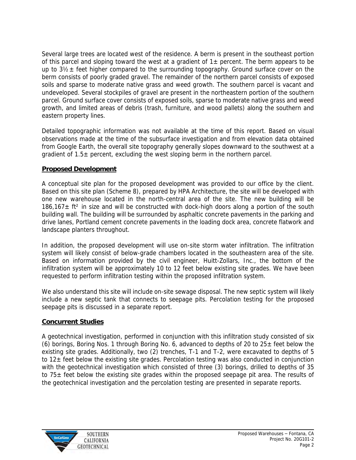Several large trees are located west of the residence. A berm is present in the southeast portion of this parcel and sloping toward the west at a gradient of  $1\pm$  percent. The berm appears to be up to  $3\frac{1}{2}$  feet higher compared to the surrounding topography. Ground surface cover on the berm consists of poorly graded gravel. The remainder of the northern parcel consists of exposed soils and sparse to moderate native grass and weed growth. The southern parcel is vacant and undeveloped. Several stockpiles of gravel are present in the northeastern portion of the southern parcel. Ground surface cover consists of exposed soils, sparse to moderate native grass and weed growth, and limited areas of debris (trash, furniture, and wood pallets) along the southern and eastern property lines.

Detailed topographic information was not available at the time of this report. Based on visual observations made at the time of the subsurface investigation and from elevation data obtained from Google Earth, the overall site topography generally slopes downward to the southwest at a gradient of  $1.5\pm$  percent, excluding the west sloping berm in the northern parcel.

## **Proposed Development**

A conceptual site plan for the proposed development was provided to our office by the client. Based on this site plan (Scheme 8), prepared by HPA Architecture, the site will be developed with one new warehouse located in the north-central area of the site. The new building will be  $186,167\pm$  ft<sup>2</sup> in size and will be constructed with dock-high doors along a portion of the south building wall. The building will be surrounded by asphaltic concrete pavements in the parking and drive lanes, Portland cement concrete pavements in the loading dock area, concrete flatwork and landscape planters throughout.

In addition, the proposed development will use on-site storm water infiltration. The infiltration system will likely consist of below-grade chambers located in the southeastern area of the site. Based on information provided by the civil engineer, Huitt-Zollars, Inc., the bottom of the infiltration system will be approximately 10 to 12 feet below existing site grades. We have been requested to perform infiltration testing within the proposed infiltration system.

We also understand this site will include on-site sewage disposal. The new septic system will likely include a new septic tank that connects to seepage pits. Percolation testing for the proposed seepage pits is discussed in a separate report.

## **Concurrent Studies**

A geotechnical investigation, performed in conjunction with this infiltration study consisted of six (6) borings, Boring Nos. 1 through Boring No. 6, advanced to depths of 20 to  $25\pm$  feet below the existing site grades. Additionally, two (2) trenches, T-1 and T-2, were excavated to depths of 5 to  $12\pm$  feet below the existing site grades. Percolation testing was also conducted in conjunction with the geotechnical investigation which consisted of three (3) borings, drilled to depths of 35 to 75± feet below the existing site grades within the proposed seepage pit area. The results of the geotechnical investigation and the percolation testing are presented in separate reports.

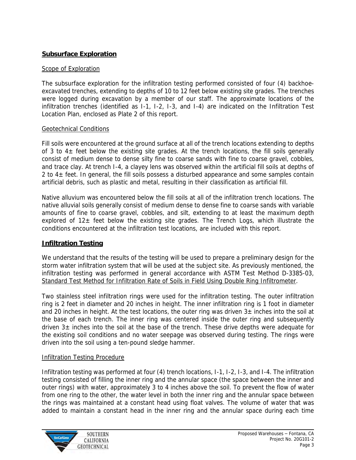# **Subsurface Exploration**

## Scope of Exploration

The subsurface exploration for the infiltration testing performed consisted of four (4) backhoeexcavated trenches, extending to depths of 10 to 12 feet below existing site grades. The trenches were logged during excavation by a member of our staff. The approximate locations of the infiltration trenches (identified as I-1, I-2, I-3, and I-4) are indicated on the Infiltration Test Location Plan, enclosed as Plate 2 of this report.

## Geotechnical Conditions

Fill soils were encountered at the ground surface at all of the trench locations extending to depths of 3 to  $4\pm$  feet below the existing site grades. At the trench locations, the fill soils generally consist of medium dense to dense silty fine to coarse sands with fine to coarse gravel, cobbles, and trace clay. At trench I-4, a clayey lens was observed within the artificial fill soils at depths of 2 to  $4\pm$  feet. In general, the fill soils possess a disturbed appearance and some samples contain artificial debris, such as plastic and metal, resulting in their classification as artificial fill.

Native alluvium was encountered below the fill soils at all of the infiltration trench locations. The native alluvial soils generally consist of medium dense to dense fine to coarse sands with variable amounts of fine to coarse gravel, cobbles, and silt, extending to at least the maximum depth explored of  $12\pm$  feet below the existing site grades. The Trench Logs, which illustrate the conditions encountered at the infiltration test locations, are included with this report.

# **Infiltration Testing**

We understand that the results of the testing will be used to prepare a preliminary design for the storm water infiltration system that will be used at the subject site. As previously mentioned, the infiltration testing was performed in general accordance with ASTM Test Method D-3385-03, Standard Test Method for Infiltration Rate of Soils in Field Using Double Ring Infiltrometer.

Two stainless steel infiltration rings were used for the infiltration testing. The outer infiltration ring is 2 feet in diameter and 20 inches in height. The inner infiltration ring is 1 foot in diameter and 20 inches in height. At the test locations, the outer ring was driven  $3\pm$  inches into the soil at the base of each trench. The inner ring was centered inside the outer ring and subsequently driven  $3\pm$  inches into the soil at the base of the trench. These drive depths were adequate for the existing soil conditions and no water seepage was observed during testing. The rings were driven into the soil using a ten-pound sledge hammer.

# Infiltration Testing Procedure

Infiltration testing was performed at four (4) trench locations, I-1, I-2, I-3, and I-4. The infiltration testing consisted of filling the inner ring and the annular space (the space between the inner and outer rings) with water, approximately 3 to 4 inches above the soil. To prevent the flow of water from one ring to the other, the water level in both the inner ring and the annular space between the rings was maintained at a constant head using float valves. The volume of water that was added to maintain a constant head in the inner ring and the annular space during each time

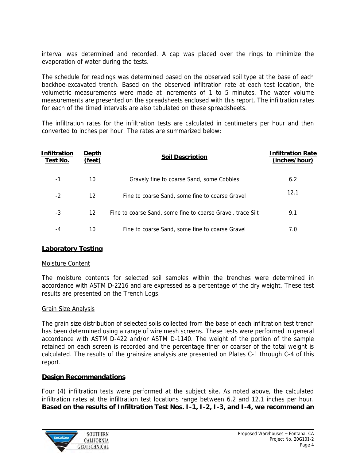interval was determined and recorded. A cap was placed over the rings to minimize the evaporation of water during the tests.

The schedule for readings was determined based on the observed soil type at the base of each backhoe-excavated trench. Based on the observed infiltration rate at each test location, the volumetric measurements were made at increments of 1 to 5 minutes. The water volume measurements are presented on the spreadsheets enclosed with this report. The infiltration rates for each of the timed intervals are also tabulated on these spreadsheets.

The infiltration rates for the infiltration tests are calculated in centimeters per hour and then converted to inches per hour. The rates are summarized below:

| nfiltration<br>Test No. | Depth<br>(feet) | Soil Description                                            | nfiltration Rate<br>(inches/hour) |
|-------------------------|-----------------|-------------------------------------------------------------|-----------------------------------|
| l - 1                   | 10              | Gravely fine to coarse Sand, some Cobbles                   | 6.2                               |
| $ -2$                   | 12              | Fine to coarse Sand, some fine to coarse Gravel             | 12.1                              |
| 1-3                     | 12 <sup>°</sup> | Fine to coarse Sand, some fine to coarse Gravel, trace Silt | 9.1                               |
| $-4$                    | 10              | Fine to coarse Sand, some fine to coarse Gravel             | 7.0                               |

# **Laboratory Testing**

## Moisture Content

The moisture contents for selected soil samples within the trenches were determined in accordance with ASTM D-2216 and are expressed as a percentage of the dry weight. These test results are presented on the Trench Logs.

## Grain Size Analysis

The grain size distribution of selected soils collected from the base of each infiltration test trench has been determined using a range of wire mesh screens. These tests were performed in general accordance with ASTM D-422 and/or ASTM D-1140. The weight of the portion of the sample retained on each screen is recorded and the percentage finer or coarser of the total weight is calculated. The results of the grainsize analysis are presented on Plates C-1 through C-4 of this report.

## **Design Recommendations**

Four (4) infiltration tests were performed at the subject site. As noted above, the calculated infiltration rates at the infiltration test locations range between 6.2 and 12.1 inches per hour. **Based on the results of Infiltration Test Nos. I-1, I-2, I-3, and I-4, we recommend an** 

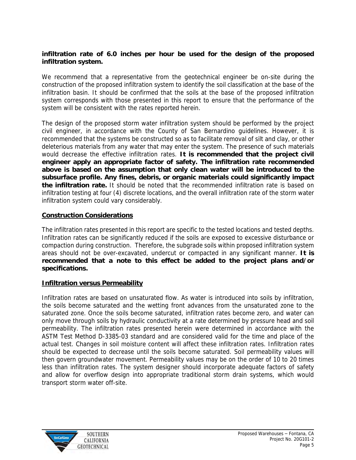**infiltration rate of 6.0 inches per hour be used for the design of the proposed infiltration system.**

We recommend that a representative from the geotechnical engineer be on-site during the construction of the proposed infiltration system to identify the soil classification at the base of the infiltration basin. It should be confirmed that the soils at the base of the proposed infiltration system corresponds with those presented in this report to ensure that the performance of the system will be consistent with the rates reported herein.

The design of the proposed storm water infiltration system should be performed by the project civil engineer, in accordance with the County of San Bernardino guidelines. However, it is recommended that the systems be constructed so as to facilitate removal of silt and clay, or other deleterious materials from any water that may enter the system. The presence of such materials would decrease the effective infiltration rates. **It is recommended that the project civil engineer apply an appropriate factor of safety. The infiltration rate recommended above is based on the assumption that only clean water will be introduced to the subsurface profile. Any fines, debris, or organic materials could significantly impact the infiltration rate.** It should be noted that the recommended infiltration rate is based on infiltration testing at four (4) discrete locations, and the overall infiltration rate of the storm water infiltration system could vary considerably.

## **Construction Considerations**

The infiltration rates presented in this report are specific to the tested locations and tested depths. Infiltration rates can be significantly reduced if the soils are exposed to excessive disturbance or compaction during construction. Therefore, the subgrade soils within proposed infiltration system areas should not be over-excavated, undercut or compacted in any significant manner. **It is recommended that a note to this effect be added to the project plans and/or specifications.**

## **Infiltration versus Permeability**

Infiltration rates are based on unsaturated flow. As water is introduced into soils by infiltration, the soils become saturated and the wetting front advances from the unsaturated zone to the saturated zone. Once the soils become saturated, infiltration rates become zero, and water can only move through soils by hydraulic conductivity at a rate determined by pressure head and soil permeability. The infiltration rates presented herein were determined in accordance with the ASTM Test Method D-3385-03 standard and are considered valid for the time and place of the actual test. Changes in soil moisture content will affect these infiltration rates. Infiltration rates should be expected to decrease until the soils become saturated. Soil permeability values will then govern groundwater movement. Permeability values may be on the order of 10 to 20 times less than infiltration rates. The system designer should incorporate adequate factors of safety and allow for overflow design into appropriate traditional storm drain systems, which would transport storm water off-site.

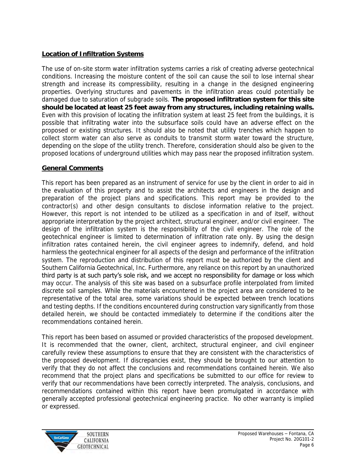# **Location of Infiltration Systems**

The use of on-site storm water infiltration systems carries a risk of creating adverse geotechnical conditions. Increasing the moisture content of the soil can cause the soil to lose internal shear strength and increase its compressibility, resulting in a change in the designed engineering properties. Overlying structures and pavements in the infiltration areas could potentially be damaged due to saturation of subgrade soils. **The proposed infiltration system for this site should be located at least 25 feet away from any structures, including retaining walls.**  Even with this provision of locating the infiltration system at least 25 feet from the buildings, it is possible that infiltrating water into the subsurface soils could have an adverse effect on the proposed or existing structures. It should also be noted that utility trenches which happen to collect storm water can also serve as conduits to transmit storm water toward the structure, depending on the slope of the utility trench. Therefore, consideration should also be given to the proposed locations of underground utilities which may pass near the proposed infiltration system.

# **General Comments**

This report has been prepared as an instrument of service for use by the client in order to aid in the evaluation of this property and to assist the architects and engineers in the design and preparation of the project plans and specifications. This report may be provided to the contractor(s) and other design consultants to disclose information relative to the project. However, this report is not intended to be utilized as a specification in and of itself, without appropriate interpretation by the project architect, structural engineer, and/or civil engineer. The design of the infiltration system is the responsibility of the civil engineer. The role of the geotechnical engineer is limited to determination of infiltration rate only. By using the design infiltration rates contained herein, the civil engineer agrees to indemnify, defend, and hold harmless the geotechnical engineer for all aspects of the design and performance of the infiltration system. The reproduction and distribution of this report must be authorized by the client and Southern California Geotechnical, Inc. Furthermore, any reliance on this report by an unauthorized third party is at such party's sole risk, and we accept no responsibility for damage or loss which may occur. The analysis of this site was based on a subsurface profile interpolated from limited discrete soil samples. While the materials encountered in the project area are considered to be representative of the total area, some variations should be expected between trench locations and testing depths. If the conditions encountered during construction vary significantly from those detailed herein, we should be contacted immediately to determine if the conditions alter the recommendations contained herein.

This report has been based on assumed or provided characteristics of the proposed development. It is recommended that the owner, client, architect, structural engineer, and civil engineer carefully review these assumptions to ensure that they are consistent with the characteristics of the proposed development. If discrepancies exist, they should be brought to our attention to verify that they do not affect the conclusions and recommendations contained herein. We also recommend that the project plans and specifications be submitted to our office for review to verify that our recommendations have been correctly interpreted. The analysis, conclusions, and recommendations contained within this report have been promulgated in accordance with generally accepted professional geotechnical engineering practice. No other warranty is implied or expressed.

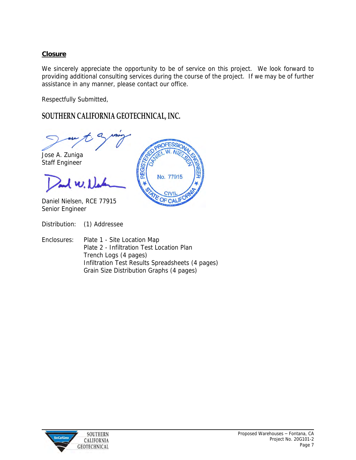# **Closure**

We sincerely appreciate the opportunity to be of service on this project. We look forward to providing additional consulting services during the course of the project. If we may be of further assistance in any manner, please contact our office.

No. 77915

**CIVI** OF

Respectfully Submitted,

# **SOUTHERN CALIFORNIA GEOTECHNICAL, INC.**

Jose A. Zuniga

Staff Engineer

 $1 w.1$ 

Daniel Nielsen, RCE 77915 Senior Engineer

Distribution: (1) Addressee

Enclosures: Plate 1 - Site Location Map Plate 2 - Infiltration Test Location Plan Trench Logs (4 pages) Infiltration Test Results Spreadsheets (4 pages) Grain Size Distribution Graphs (4 pages)

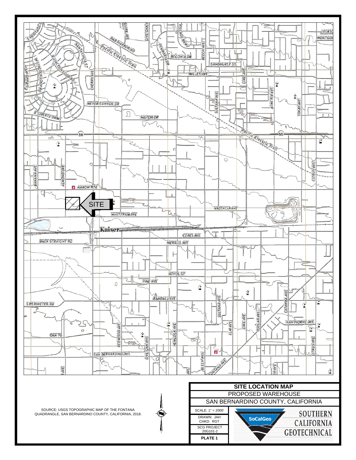

SCG PROJECT<br>20G101-2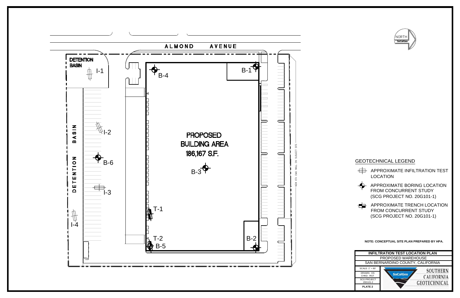





- 
- 



- 
- 

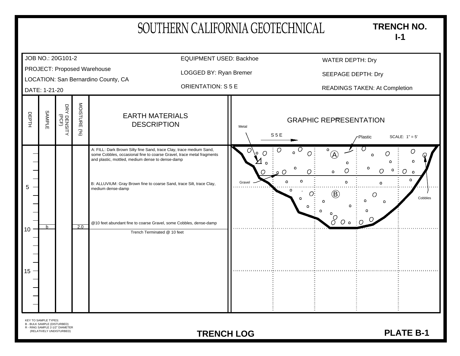|                                                                                                                           | SOUTHERN CALIFORNIA GEOTECHNICAL                                                                                                                                                                                                                                         | <b>TRENCH NO.</b><br>$I-1$                                                                                                                                                                                                |                    |
|---------------------------------------------------------------------------------------------------------------------------|--------------------------------------------------------------------------------------------------------------------------------------------------------------------------------------------------------------------------------------------------------------------------|---------------------------------------------------------------------------------------------------------------------------------------------------------------------------------------------------------------------------|--------------------|
| JOB NO.: 20G101-2                                                                                                         | <b>EQUIPMENT USED: Backhoe</b>                                                                                                                                                                                                                                           | <b>WATER DEPTH: Dry</b>                                                                                                                                                                                                   |                    |
| PROJECT: Proposed Warehouse                                                                                               | LOGGED BY: Ryan Bremer                                                                                                                                                                                                                                                   | SEEPAGE DEPTH: Dry                                                                                                                                                                                                        |                    |
| LOCATION: San Bernardino County, CA<br>DATE: 1-21-20                                                                      | <b>ORIENTATION: S 5 E</b>                                                                                                                                                                                                                                                | <b>READINGS TAKEN: At Completion</b>                                                                                                                                                                                      |                    |
| MOISTURE<br>DRY DENSITY<br>(PCF)<br>SAMPLE<br>DEPTH<br>(96)                                                               | <b>EARTH MATERIALS</b><br><b>DESCRIPTION</b>                                                                                                                                                                                                                             | <b>GRAPHIC REPRESENTATION</b><br>Metal<br>S <sub>5</sub> E<br>SCALE: $1" = 5'$<br>Plastic                                                                                                                                 |                    |
| 5<br>medium dense-damp                                                                                                    | A: FILL: Dark Brown Silty fine Sand, trace Clay, trace medium Sand,<br>some Cobbles, occasional fine to coarse Gravel, trace metal fragments<br>and plastic, mottled, medium dense to dense-damp<br>B: ALLUVIUM: Gray Brown fine to coarse Sand, trace Silt, trace Clay, | O<br>O<br>O<br>- 0<br>O.<br>$\left( \bigwedge \right)$<br>Ο<br>٥<br>$\overline{O}$<br>O<br>$\Omega$<br>$\Omega$<br>$\Omega$<br>$\mathbf{o}$<br>Gravel<br>Ω<br>n<br>$\left( \mathsf{B}\right)$<br>Ο<br>$\circ$<br>$\delta$ | $\circ$<br>Cobbles |
| 2.0<br>h.<br>10 <sup>°</sup><br>15                                                                                        | @10 feet abundant fine to coarse Gravel, some Cobbles, dense-damp<br>Trench Terminated @ 10 feet                                                                                                                                                                         |                                                                                                                                                                                                                           |                    |
| KEY TO SAMPLE TYPES:<br><b>B - BULK SAMPLE (DISTURBED)</b><br>R - RING SAMPLE 2-1/2" DIAMETER<br>(RELATIVELY UNDISTURBED) | <b>TRENCH LOG</b>                                                                                                                                                                                                                                                        | <b>PLATE B-1</b>                                                                                                                                                                                                          |                    |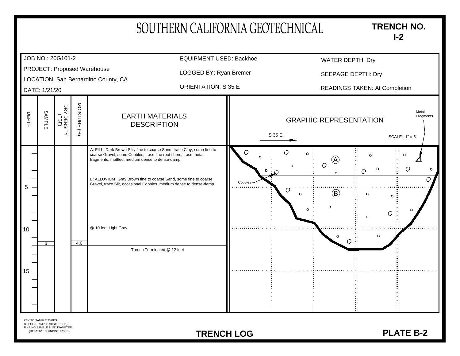| JOB NO.: 20G101-2<br>PROJECT: Proposed Warehouse<br>LOCATION: San Bernardino County, CA<br>DATE: 1/21/20<br>MOISTURE<br>DRY DENSITY<br>(PCF)<br><b>SAMPLE</b><br>DEPTH<br><b>EARTH MATERIALS</b><br><b>DESCRIPTION</b><br>(96)<br>A: FILL: Dark Brown Silty fine to coarse Sand, trace Clay, some fine to<br>coarse Gravel, some Cobbles, trace fine root fibers, trace metal<br>fragments, mottled, medium dense to dense-damp<br>B: ALLUVIUM: Gray Brown fine to coarse Sand, some fine to coarse<br>Gravel, trace Silt, occasional Cobbles, medium dense to dense-damp<br>5<br>@ 10 feet Light Gray | <b>EQUIPMENT USED: Backhoe</b><br>LOGGED BY: Ryan Bremer<br><b>ORIENTATION: S 35 E</b> | O<br>O  | S 35 E<br>Ω  | <b>GRAPHIC REPRESENTATION</b><br>$\mathsf{o}\,$<br>$\overline{(\mathbf{A})}$ | <b>WATER DEPTH: Dry</b><br>SEEPAGE DEPTH: Dry<br><b>READINGS TAKEN: At Completion</b><br>Ω | SCALE: $1" = 5'$<br>٥ | Metal<br>Fragments |
|--------------------------------------------------------------------------------------------------------------------------------------------------------------------------------------------------------------------------------------------------------------------------------------------------------------------------------------------------------------------------------------------------------------------------------------------------------------------------------------------------------------------------------------------------------------------------------------------------------|----------------------------------------------------------------------------------------|---------|--------------|------------------------------------------------------------------------------|--------------------------------------------------------------------------------------------|-----------------------|--------------------|
|                                                                                                                                                                                                                                                                                                                                                                                                                                                                                                                                                                                                        |                                                                                        |         |              |                                                                              |                                                                                            |                       |                    |
|                                                                                                                                                                                                                                                                                                                                                                                                                                                                                                                                                                                                        |                                                                                        |         |              |                                                                              |                                                                                            |                       |                    |
|                                                                                                                                                                                                                                                                                                                                                                                                                                                                                                                                                                                                        |                                                                                        |         |              |                                                                              |                                                                                            |                       |                    |
|                                                                                                                                                                                                                                                                                                                                                                                                                                                                                                                                                                                                        |                                                                                        |         |              |                                                                              |                                                                                            |                       |                    |
| 10 <sup>°</sup><br>4.0<br>h<br>Trench Terminated @ 12 feet<br>15                                                                                                                                                                                                                                                                                                                                                                                                                                                                                                                                       |                                                                                        | Cobbles | Ö<br>$\circ$ | $\overline{O}$<br>$\Omega$<br>$\circledR$<br>Ω<br>о                          | ٥<br>O<br>Ω<br>Ω<br>٥                                                                      | O                     | $\circ$<br>Ω       |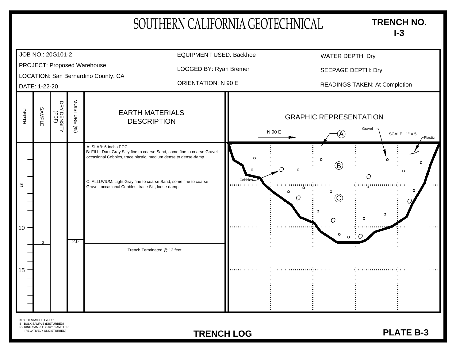|                                                                                                                | SOUTHERN CALIFORNIA GEOTECHNICAL                                                                                                                                                                               |                                                            |                               | <b>TRENCH NO.</b><br>$I-3$             |
|----------------------------------------------------------------------------------------------------------------|----------------------------------------------------------------------------------------------------------------------------------------------------------------------------------------------------------------|------------------------------------------------------------|-------------------------------|----------------------------------------|
| JOB NO.: 20G101-2                                                                                              | <b>EQUIPMENT USED: Backhoe</b>                                                                                                                                                                                 |                                                            | <b>WATER DEPTH: Dry</b>       |                                        |
| PROJECT: Proposed Warehouse                                                                                    | LOGGED BY: Ryan Bremer                                                                                                                                                                                         |                                                            | SEEPAGE DEPTH: Dry            |                                        |
| LOCATION: San Bernardino County, CA<br>DATE: 1-22-20                                                           | <b>ORIENTATION: N 90 E</b>                                                                                                                                                                                     |                                                            |                               | <b>READINGS TAKEN: At Completion</b>   |
| MOISTURE<br>DRY DENSITY<br>ORY DENSITY<br><b>SAMPLE</b><br>DEPTH<br>(%)                                        | <b>EARTH MATERIALS</b><br><b>DESCRIPTION</b>                                                                                                                                                                   | N 90 E                                                     | <b>GRAPHIC REPRESENTATION</b> | Gravel<br>SCALE: $1" = 5'$<br>-Plastic |
| A: SLAB: 6-inchs PCC<br>5<br>Gravel, occasional Cobbles, trace Silt, loose-damp<br>10 <sup>°</sup><br>2.0<br>b | B: FILL: Dark Gray Silty fine to coarse Sand, some fine to coarse Gravel,<br>occasional Cobbles, trace plastic, medium dense to dense-damp<br>C: ALLUVIUM: Light Gray fine to coarse Sand, some fine to coarse | Cobbles-<br>in mana mana sa mga barangay.<br>Ka<br>$\circ$ | (B)<br>O<br>٥                 | Ω<br>ng mumumum<br>Ω                   |
| $15 -$                                                                                                         | Trench Terminated @ 12 feet                                                                                                                                                                                    |                                                            |                               |                                        |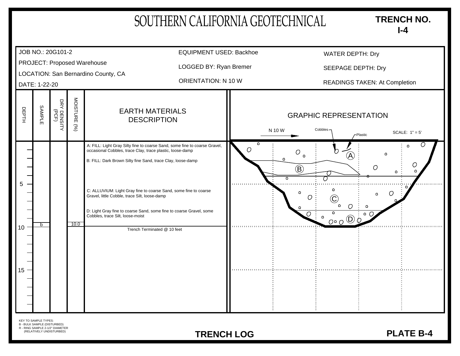| SOUTHERN CALIFORNIA GEOTECHNICAL<br><b>TRENCH NO.</b><br>$I-4$                                                                   |                                                      |              |                                                                                                                                                                                                                              |                                |                                                                                                                         |                               |  |  |
|----------------------------------------------------------------------------------------------------------------------------------|------------------------------------------------------|--------------|------------------------------------------------------------------------------------------------------------------------------------------------------------------------------------------------------------------------------|--------------------------------|-------------------------------------------------------------------------------------------------------------------------|-------------------------------|--|--|
| JOB NO.: 20G101-2                                                                                                                |                                                      |              |                                                                                                                                                                                                                              | <b>EQUIPMENT USED: Backhoe</b> | <b>WATER DEPTH: Dry</b>                                                                                                 |                               |  |  |
| PROJECT: Proposed Warehouse                                                                                                      |                                                      |              |                                                                                                                                                                                                                              | LOGGED BY: Ryan Bremer         | <b>SEEPAGE DEPTH: Dry</b>                                                                                               |                               |  |  |
|                                                                                                                                  | LOCATION: San Bernardino County, CA<br>DATE: 1-22-20 |              |                                                                                                                                                                                                                              | <b>ORIENTATION: N 10 W</b>     |                                                                                                                         | READINGS TAKEN: At Completion |  |  |
| <b>SAMPLE</b><br>DEPTH                                                                                                           | DRY DENSITY<br>(PCF)                                 | MOISTURE (%) | <b>EARTH MATERIALS</b><br><b>DESCRIPTION</b>                                                                                                                                                                                 |                                | <b>GRAPHIC REPRESENTATION</b><br>Cobbles-<br>N 10 W<br>-Plastic                                                         | SCALE: $1" = 5'$              |  |  |
| 5                                                                                                                                |                                                      |              | A: FILL: Light Gray Silty fine to coarse Sand, some fine to coarse Gravel,<br>occasional Cobbles, trace Clay, trace plastic, loose-damp<br>B: FILL: Dark Brown Silty fine Sand, trace Clay, loose-damp                       | ◯                              | O<br>$\left[ \mathsf{A}\right]$<br>$\mathbf{o}$<br>$\left( \widehat{\mathsf{B}}\right)$<br>O<br>$\overline{\mathbf{o}}$ | $\circ$<br>O<br>$\circ$<br>۰  |  |  |
|                                                                                                                                  |                                                      |              | C: ALLUVIUM: Light Gray fine to coarse Sand, some fine to coarse<br>Gravel, little Cobble, trace Silt, loose-damp<br>D: Light Gray fine to coarse Sand, some fine to coarse Gravel, some<br>Cobbles, trace Silt, loose-moist |                                | O<br>$\Omega$<br>٥<br>Ω<br>ം റ<br>$\mathbf{o}$<br>$O^{\circ}O$ <sup>(D)</sup>                                           |                               |  |  |
| <sub>h</sub><br>10 <sup>°</sup><br>$15 -$                                                                                        |                                                      | 10.0         | Trench Terminated @ 10 feet                                                                                                                                                                                                  |                                |                                                                                                                         |                               |  |  |
| <b>KEY TO SAMPLE TYPES:</b><br><b>B - BULK SAMPLE (DISTURBED)</b><br>R - RING SAMPLE 2-1/2" DIAMETER<br>(RELATIVELY UNDISTURBED) |                                                      |              |                                                                                                                                                                                                                              | <b>TRENCH LOG</b>              |                                                                                                                         | <b>PLATE B-4</b>              |  |  |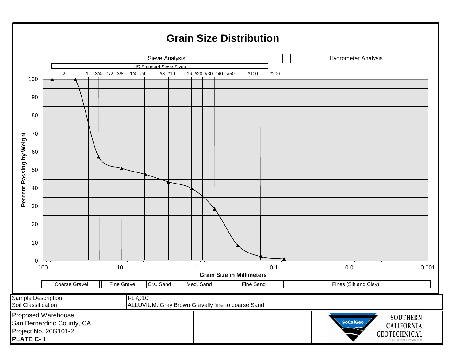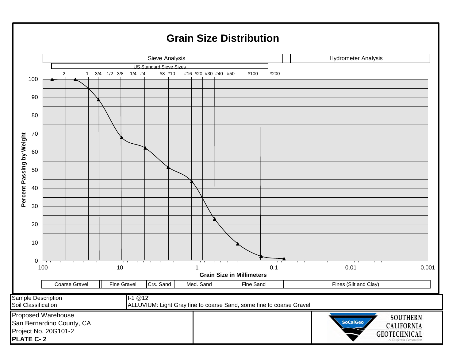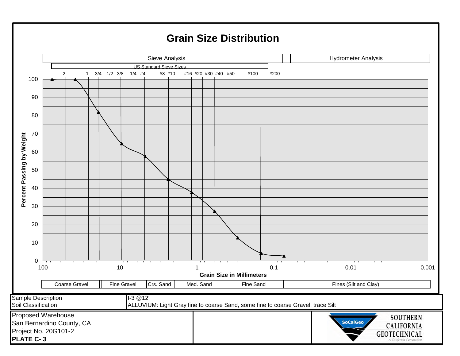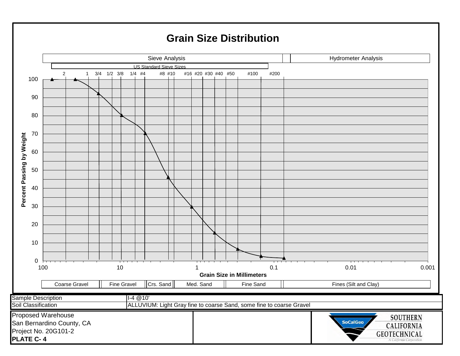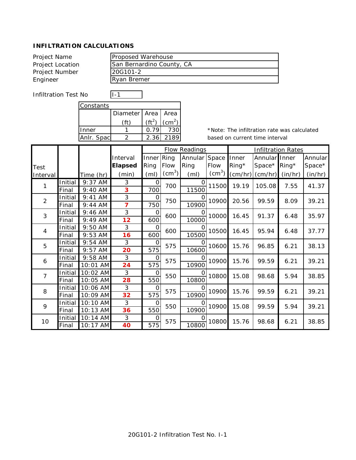| Project Name     | Proposed Warehouse        |
|------------------|---------------------------|
| Project Location | San Bernardino County, CA |
| Project Number   | 20G101-2                  |
| Engineer         | Ryan Bremer               |

Infiltration Test No I-1

| Constants |            |                        |  |  |  |  |  |  |
|-----------|------------|------------------------|--|--|--|--|--|--|
|           |            |                        |  |  |  |  |  |  |
|           | $(ft^2)$   | $\rm (cm^2)$           |  |  |  |  |  |  |
|           | 0.79       | 730                    |  |  |  |  |  |  |
|           | 2.36       | 2189                   |  |  |  |  |  |  |
|           | Anlr. Spac | Diameter   Area   Area |  |  |  |  |  |  |

ヿ

|                |         |           |                |                   |                        | <b>Flow Readings</b> |                        |          |               | <b>Infiltration Rates</b> |         |       |
|----------------|---------|-----------|----------------|-------------------|------------------------|----------------------|------------------------|----------|---------------|---------------------------|---------|-------|
|                |         |           | Interval       | Inner             | Ring                   | Annular              | Space                  | Inner    | Annular Inner |                           | Annular |       |
| Test           |         |           | <b>Elapsed</b> | Ring              | Flow                   | Ring                 | Flow                   | $Ring^*$ | Space*        | $Ring^*$                  | Space*  |       |
| Interval       |         | Time (hr) | (min)          | (m <sub>l</sub> ) | $\text{(cm}^3\text{)}$ | (m <sub>l</sub> )    | $\text{(cm}^3\text{)}$ | (cm/hr)  | (cm/hr)       | (in/hr)                   | (in/hr) |       |
| $\mathbf{1}$   | Initial | 9:37 AM   | 3              | 0                 | 700                    | $\Omega$             | 11500                  | 19.19    | 105.08        | 7.55                      | 41.37   |       |
|                | Final   | 9:40 AM   | 3              | 700               |                        | 11500                |                        |          |               |                           |         |       |
| $\overline{2}$ | Initial | 9:41 AM   | 3              | 0                 | 750                    | Ω                    | 10900                  | 20.56    | 99.59         | 8.09                      | 39.21   |       |
|                | Final   | $9:44$ AM | 7              | 750               |                        | 10900                |                        |          |               |                           |         |       |
| 3              | Initial | 9:46 AM   | 3              | 0                 | 600                    | Ω                    | 10000                  | 16.45    | 91.37         | 6.48                      | 35.97   |       |
|                | Final   | 9:49 AM   | 12             | 600               |                        | 10000                |                        |          |               |                           |         |       |
| $\overline{4}$ | Initial | $9:50$ AM | 3              | 0                 | 600                    | Ω                    | 10500                  | 16.45    | 95.94         | 6.48                      | 37.77   |       |
|                | Final   | 9:53 AM   | 16             | 600               |                        | 10500                |                        |          |               |                           |         |       |
| 5              | Initial | $9:54$ AM | 3              | 0                 | 575                    | Ω                    | 10600                  | 15.76    | 96.85         | 6.21                      | 38.13   |       |
|                | Final   | $9:57$ AM | 20             | 575               |                        | 10600                |                        |          |               |                           |         |       |
| 6              | Initial | 9:58 AM   | 3              | 0                 | 575                    | O                    | 10900                  |          | 15.76         | 99.59                     | 6.21    | 39.21 |
|                | Final   | 10:01 AM  | 24             | 575               |                        | 10900                |                        |          |               |                           |         |       |
| $\overline{7}$ | Initial | 10:02 AM  | 3              | 0                 | 550                    | Ω                    | 10800                  | 15.08    | 98.68         | 5.94                      | 38.85   |       |
|                | Final   | 10:05 AM  | 28             | 550               |                        | 10800                |                        |          |               |                           |         |       |
| 8              | Initial | 10:06 AM  | 3              | 0                 | 575                    | Ω                    | 10900                  | 15.76    | 99.59         | 6.21                      | 39.21   |       |
|                | Final   | 10:09 AM  | 32             | 575               |                        | 10900                |                        |          |               |                           |         |       |
| 9              | Initial | 10:10 AM  | 3              | 0                 | 550                    | O                    | 10900                  | 15.08    | 99.59         | 5.94                      | 39.21   |       |
|                | Final   | 10:13 AM  | 36             | 550               |                        | 10900                |                        |          |               |                           |         |       |
| 10             | Initial | 10:14 AM  | 3              | 0                 | 575                    | O                    | 10800                  | 15.76    | 98.68         | 6.21                      | 38.85   |       |
|                | Final   | 10:17 AM  | 40             | 575               |                        | 10800                |                        |          |               |                           |         |       |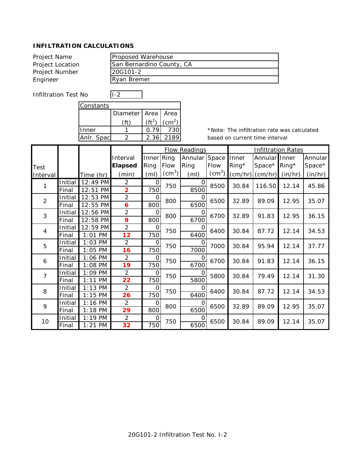| San Bernardino County, CA |
|---------------------------|
| 20G101-2                  |
| Ryan Bremer               |
|                           |

Infiltration Test No I-2

| Constants  |                        |          |              |  |  |  |  |  |
|------------|------------------------|----------|--------------|--|--|--|--|--|
|            | Diameter   Area   Area |          |              |  |  |  |  |  |
|            |                        | $(ft^2)$ | $\rm (cm^2)$ |  |  |  |  |  |
| Inner      |                        | 0.79     | 730          |  |  |  |  |  |
| Anlr. Spac |                        | 2.36     | 2189         |  |  |  |  |  |
|            |                        |          |              |  |  |  |  |  |

٦

|                |         |                    |                |                   | <b>Flow Readings</b> |                   | <b>Infiltration Rates</b> |          |               |          |         |
|----------------|---------|--------------------|----------------|-------------------|----------------------|-------------------|---------------------------|----------|---------------|----------|---------|
|                |         |                    | Interval       | Inner             | Ring                 | Annular           | Space                     | Inner    | Annular Inner |          | Annular |
| Test           |         |                    | <b>Elapsed</b> | Ring              | Flow                 | Ring              | Flow                      | $Ring^*$ | Space*        | $Ring^*$ | Space*  |
| Interval       |         | Time (hr)          | (min)          | (m <sub>l</sub> ) | $\rm (cm^3)$         | (m <sub>l</sub> ) | $\text{(cm}^3\text{)}$    | (cm/hr)  | (cm/hr)       | (in/hr)  | (in/hr) |
| 1              | Initial | 12:49 PM           | 2              | $\circ$           | 750                  | 0                 | 8500                      | 30.84    | 116.50        | 12.14    | 45.86   |
|                | Final   | 12:51<br><b>PM</b> | $\overline{2}$ | 750               |                      | 8500              |                           |          |               |          |         |
| $\overline{2}$ | Initial | 12:53 PM           | $\overline{2}$ | 0                 | 800                  | Ω                 | 6500                      | 32.89    | 89.09         | 12.95    | 35.07   |
|                | Final   | 12:55 PM           | 6              | 800               |                      | 6500              |                           |          |               |          |         |
| 3              | Initial | 12:56 PM           | $\overline{2}$ | O                 | 800                  | Ω                 | 6700                      | 32.89    | 91.83         | 12.95    | 36.15   |
|                | Final   | 12:58 PM           | 9              | 800               |                      | 6700              |                           |          |               |          |         |
| $\overline{4}$ | Initial | 12:59 PM           | $\overline{2}$ | O                 | 750                  | 0                 | 6400                      | 30.84    | 87.72         | 12.14    | 34.53   |
|                | Final   | $1:01$ PM          | 12             | 750               |                      | 6400              |                           |          |               |          |         |
| 5              | Initial | $1:03$ PM          | $\overline{2}$ | 0                 | 750                  | O                 | 7000                      | 30.84    | 95.94         | 12.14    | 37.77   |
|                | Final   | $1:05$ PM          | 16             | 750               |                      | 7000              |                           |          |               |          |         |
| 6              | Initial | 1:06 PM            | $\overline{2}$ | 0                 | 750                  | Ω                 | 6700                      | 30.84    | 91.83         | 12.14    | 36.15   |
|                | Final   | 1:08 PM            | 19             | 750               |                      | $\frac{1}{6700}$  |                           |          |               |          |         |
| $\overline{7}$ | Initial | 1:09 PM            | $\overline{2}$ | 0                 | 750                  | O                 | 5800                      | 30.84    | 79.49         | 12.14    | 31.30   |
|                | Final   | $1:11$ PM          | 22             | 750               |                      | 5800              |                           |          |               |          |         |
| 8              | Initial | $1:13$ PM          | $\overline{2}$ | 0                 | 750                  | O                 | 6400                      | 30.84    | 87.72         | 12.14    | 34.53   |
|                | Final   | $1:15$ PM          | 26             | 750               |                      | 6400              |                           |          |               |          |         |
| 9              | Initial | $1:16$ PM          | $\overline{2}$ | 0                 | 800                  | O                 | 6500                      | 32.89    | 89.09         | 12.95    | 35.07   |
|                | Final   | $1:18$ PM          | 29             | 800               |                      | 6500              |                           |          |               |          |         |
| 10             | Initial | $1:19$ PM          | 2              | 0                 | 750                  | O                 | 6500                      | 30.84    | 89.09         | 12.14    | 35.07   |
|                | Final   | $1:21$ PM          | 32             | 750               |                      | 6500              |                           |          |               |          |         |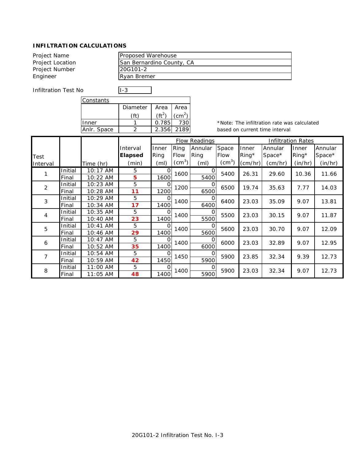| Project Name     | Proposed Warehouse        |
|------------------|---------------------------|
| Project Location | San Bernardino County, CA |
| Project Number   | 20G101-2                  |
| Engineer         | <b>Ryan Bremer</b>        |
|                  |                           |

٦

Infiltration Test No **I-3** 

| Constants   |          |        |            |  |
|-------------|----------|--------|------------|--|
|             | Diameter | Area I | Area       |  |
|             |          |        | (cm $^2$ ) |  |
| nner        |          | 0.785  | $130 -$    |  |
| Anlr. Space |          | 2.356  | 2189       |  |

|          |         |           |                | <b>Flow Readings</b> |              |                   |                        | <b>Infiltration Rates</b> |         |          |         |
|----------|---------|-----------|----------------|----------------------|--------------|-------------------|------------------------|---------------------------|---------|----------|---------|
|          |         |           | Interval       | Inner                | Ring         | Annular           | Space                  | Inner                     | Annular | Inner    | Annular |
| Test     |         |           | <b>Elapsed</b> | Ring                 | Flow         | Ring              | <b>Flow</b>            | $Ring^*$                  | Space*  | $Ring^*$ | Space*  |
| Interval |         | Time (hr) | (min)          | (m <sub>l</sub> )    | $\rm (cm^3)$ | (m <sub>l</sub> ) | $\text{(cm}^3\text{)}$ | (cm/hr)                   | (cm/hr) | (in/hr)  | (in/hr) |
|          | Initial | 10:17 AM  | 5              | Ω                    | 1600         | O                 | 5400                   | 26.31                     | 29.60   | 10.36    | 11.66   |
|          | Final   | 10:22 AM  | 5              | 1600                 |              | 5400              |                        |                           |         |          |         |
| 2        | Initial | 10:23 AM  | 5              | O                    | 1200         | 0                 | 6500                   | 19.74                     | 35.63   | 7.77     | 14.03   |
|          | Final   | 10:28 AM  | 11             | 1200                 |              | 6500              |                        |                           |         |          |         |
| 3        | Initial | 10:29 AM  | 5              | Ω                    | 1400         | O                 | 6400                   | 23.03                     | 35.09   | 9.07     | 13.81   |
|          | Final   | 10:34 AM  | 17             | 1400                 |              | 6400              |                        |                           |         |          |         |
| 4        | Initial | 10:35 AM  | 5              | Ω                    | 1400         | O                 | 5500                   | 23.03                     | 30.15   | 9.07     | 11.87   |
|          | Final   | 10:40 AM  | 23             | 1400                 |              | 5500              |                        |                           |         |          |         |
| 5        | Initial | 10:41 AM  | 5              | Ω                    | 1400         |                   | 5600                   | 23.03                     | 30.70   | 9.07     | 12.09   |
|          | Final   | 10:46 AM  | 29             | 1400                 |              | 5600              |                        |                           |         |          |         |
| 6        | Initial | 10:47 AM  | 5              | O                    | 1400         | O                 | 6000                   | 23.03                     | 32.89   | 9.07     | 12.95   |
|          | Final   | 10:52 AM  | 35             | 1400                 |              | 6000              |                        |                           |         |          |         |
| 7        | Initial | 10:54 AM  | 5              | $\Omega$             | 1450         | 0                 | 5900                   | 23.85                     | 32.34   | 9.39     | 12.73   |
|          | Final   | 10:59 AM  | 42             | 1450                 |              | 5900              |                        |                           |         |          |         |
| 8        | Initial | 11:00 AM  | 5              | ∩                    | 1400         |                   | 5900                   | 23.03                     | 32.34   | 9.07     | 12.73   |
|          | Final   | 11:05 AM  | 48             | 1400                 |              | 5900              |                        |                           |         |          |         |